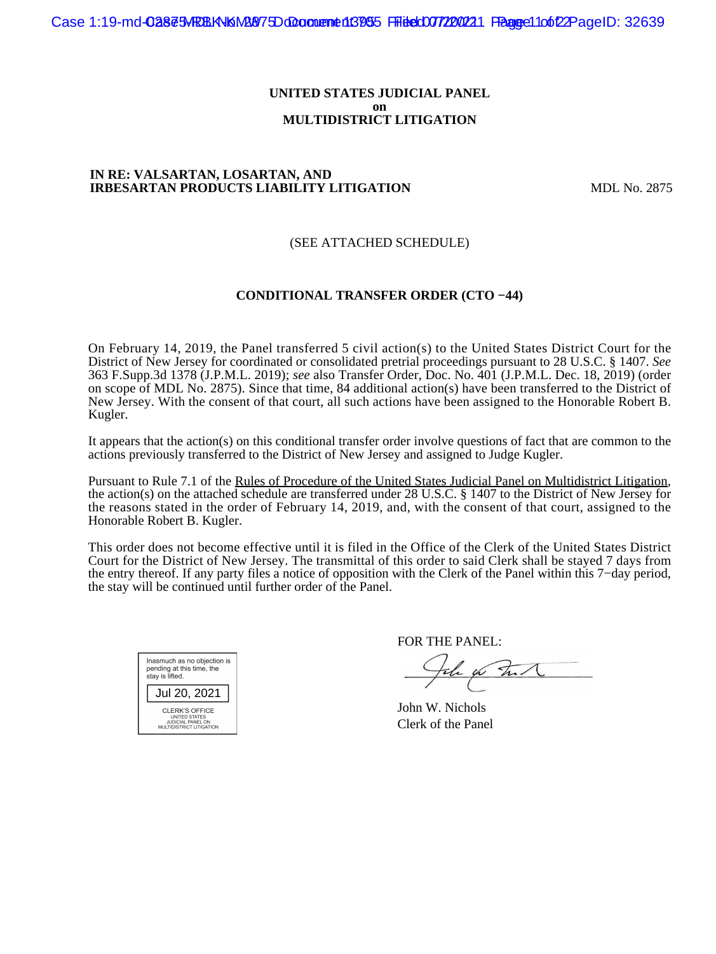#### **UNITED STATES JUDICIAL PANEL on MULTIDISTRICT LITIGATION**

### **IN RE: VALSARTAN, LOSARTAN, AND IRBESARTAN PRODUCTS LIABILITY LITIGATION MDL No. 2875**

## (SEE ATTACHED SCHEDULE)

### **CONDITIONAL TRANSFER ORDER (CTO −44)**

On February 14, 2019, the Panel transferred 5 civil action(s) to the United States District Court for the District of New Jersey for coordinated or consolidated pretrial proceedings pursuant to 28 U.S.C. § 1407. *See* 363 F.Supp.3d 1378 (J.P.M.L. 2019); *see* also Transfer Order, Doc. No. 401 (J.P.M.L. Dec. 18, 2019) (order on scope of MDL No. 2875). Since that time, 84 additional action(s) have been transferred to the District of New Jersey. With the consent of that court, all such actions have been assigned to the Honorable Robert B. Kugler.

It appears that the action(s) on this conditional transfer order involve questions of fact that are common to the actions previously transferred to the District of New Jersey and assigned to Judge Kugler.

Pursuant to Rule 7.1 of the Rules of Procedure of the United States Judicial Panel on Multidistrict Litigation, the action(s) on the attached schedule are transferred under 28 U.S.C. § 1407 to the District of New Jersey for the reasons stated in the order of February 14, 2019, and, with the consent of that court, assigned to the Honorable Robert B. Kugler.

This order does not become effective until it is filed in the Office of the Clerk of the United States District Court for the District of New Jersey. The transmittal of this order to said Clerk shall be stayed 7 days from the entry thereof. If any party files a notice of opposition with the Clerk of the Panel within this 7−day period, the stay will be continued until further order of the Panel.

| Inasmuch as no objection is<br>pending at this time, the<br>stay is lifted.             |  |  |  |
|-----------------------------------------------------------------------------------------|--|--|--|
| Jul 20, 2021                                                                            |  |  |  |
| CLERK'S OFFICE<br><b>UNITED STATES</b><br>JUDICIAL PANEL ON<br>MULTIDISTRICT LITIGATION |  |  |  |

FOR THE PANEL:

the for that

John W. Nichols Clerk of the Panel